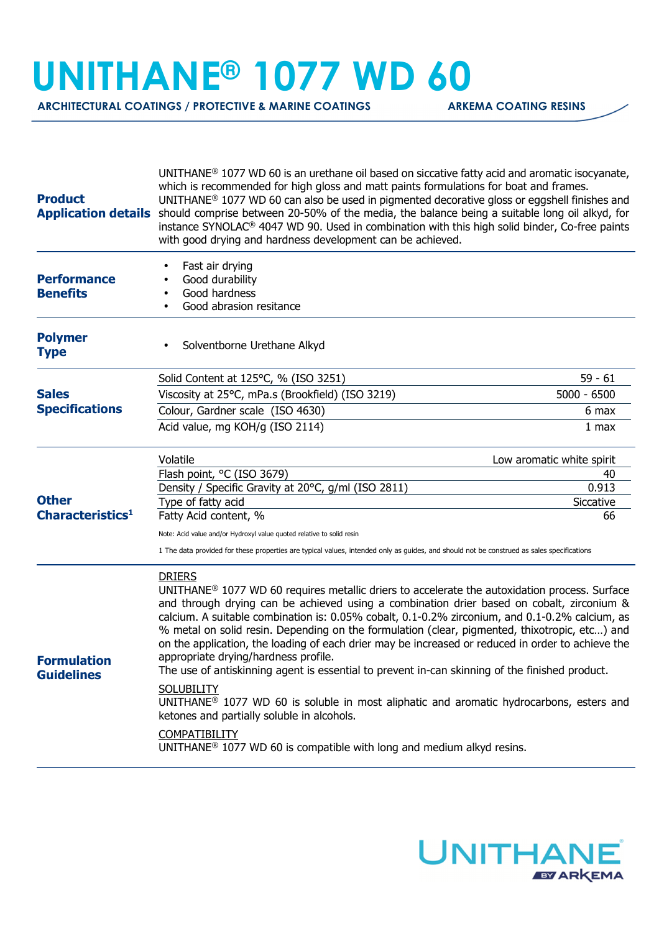## **UNITHANE® 1077 WD 60**

**ARCHITECTURAL COATINGS / PROTECTIVE & MARINE COATINGS ARKEMA COATING RESINS** 

| $UNITHANE®$ 1077 WD 60 is an urethane oil based on siccative fatty acid and aromatic isocyanate,<br>which is recommended for high gloss and matt paints formulations for boat and frames.<br>$UNITHANE®$ 1077 WD 60 can also be used in pigmented decorative gloss or eggshell finishes and<br>Application details should comprise between 20-50% of the media, the balance being a suitable long oil alkyd, for<br>instance SYNOLAC® 4047 WD 90. Used in combination with this high solid binder, Co-free paints<br>with good drying and hardness development can be achieved.                                                                                                                                                                                                                                                                                                                                                                                                                                                                                                           |                                                                                                                                                                                                           |
|-------------------------------------------------------------------------------------------------------------------------------------------------------------------------------------------------------------------------------------------------------------------------------------------------------------------------------------------------------------------------------------------------------------------------------------------------------------------------------------------------------------------------------------------------------------------------------------------------------------------------------------------------------------------------------------------------------------------------------------------------------------------------------------------------------------------------------------------------------------------------------------------------------------------------------------------------------------------------------------------------------------------------------------------------------------------------------------------|-----------------------------------------------------------------------------------------------------------------------------------------------------------------------------------------------------------|
| Fast air drying<br>Good durability<br>Good hardness<br>Good abrasion resitance                                                                                                                                                                                                                                                                                                                                                                                                                                                                                                                                                                                                                                                                                                                                                                                                                                                                                                                                                                                                            |                                                                                                                                                                                                           |
| Solventborne Urethane Alkyd                                                                                                                                                                                                                                                                                                                                                                                                                                                                                                                                                                                                                                                                                                                                                                                                                                                                                                                                                                                                                                                               |                                                                                                                                                                                                           |
| Solid Content at 125°C, % (ISO 3251)                                                                                                                                                                                                                                                                                                                                                                                                                                                                                                                                                                                                                                                                                                                                                                                                                                                                                                                                                                                                                                                      | $59 - 61$                                                                                                                                                                                                 |
| Viscosity at 25°C, mPa.s (Brookfield) (ISO 3219)                                                                                                                                                                                                                                                                                                                                                                                                                                                                                                                                                                                                                                                                                                                                                                                                                                                                                                                                                                                                                                          | $5000 - 6500$                                                                                                                                                                                             |
| Colour, Gardner scale (ISO 4630)                                                                                                                                                                                                                                                                                                                                                                                                                                                                                                                                                                                                                                                                                                                                                                                                                                                                                                                                                                                                                                                          | 6 max                                                                                                                                                                                                     |
| Acid value, mg KOH/g (ISO 2114)                                                                                                                                                                                                                                                                                                                                                                                                                                                                                                                                                                                                                                                                                                                                                                                                                                                                                                                                                                                                                                                           | 1 max                                                                                                                                                                                                     |
| Volatile                                                                                                                                                                                                                                                                                                                                                                                                                                                                                                                                                                                                                                                                                                                                                                                                                                                                                                                                                                                                                                                                                  | Low aromatic white spirit                                                                                                                                                                                 |
|                                                                                                                                                                                                                                                                                                                                                                                                                                                                                                                                                                                                                                                                                                                                                                                                                                                                                                                                                                                                                                                                                           | 40                                                                                                                                                                                                        |
|                                                                                                                                                                                                                                                                                                                                                                                                                                                                                                                                                                                                                                                                                                                                                                                                                                                                                                                                                                                                                                                                                           | 0.913                                                                                                                                                                                                     |
|                                                                                                                                                                                                                                                                                                                                                                                                                                                                                                                                                                                                                                                                                                                                                                                                                                                                                                                                                                                                                                                                                           | Siccative<br>66                                                                                                                                                                                           |
|                                                                                                                                                                                                                                                                                                                                                                                                                                                                                                                                                                                                                                                                                                                                                                                                                                                                                                                                                                                                                                                                                           |                                                                                                                                                                                                           |
|                                                                                                                                                                                                                                                                                                                                                                                                                                                                                                                                                                                                                                                                                                                                                                                                                                                                                                                                                                                                                                                                                           |                                                                                                                                                                                                           |
| 1 The data provided for these properties are typical values, intended only as guides, and should not be construed as sales specifications<br><b>DRIERS</b><br>$UNITHANE®$ 1077 WD 60 requires metallic driers to accelerate the autoxidation process. Surface<br>and through drying can be achieved using a combination drier based on cobalt, zirconium &<br>calcium. A suitable combination is: 0.05% cobalt, 0.1-0.2% zirconium, and 0.1-0.2% calcium, as<br>% metal on solid resin. Depending on the formulation (clear, pigmented, thixotropic, etc) and<br>on the application, the loading of each drier may be increased or reduced in order to achieve the<br>appropriate drying/hardness profile.<br>The use of antiskinning agent is essential to prevent in-can skinning of the finished product.<br><b>SOLUBILITY</b><br>$UNITHANE®$ 1077 WD 60 is soluble in most aliphatic and aromatic hydrocarbons, esters and<br>ketones and partially soluble in alcohols.<br><b>COMPATIBILITY</b><br>UNITHANE <sup>®</sup> 1077 WD 60 is compatible with long and medium alkyd resins. |                                                                                                                                                                                                           |
|                                                                                                                                                                                                                                                                                                                                                                                                                                                                                                                                                                                                                                                                                                                                                                                                                                                                                                                                                                                                                                                                                           | Flash point, °C (ISO 3679)<br>Density / Specific Gravity at 20°C, g/ml (ISO 2811)<br>Type of fatty acid<br>Fatty Acid content, %<br>Note: Acid value and/or Hydroxyl value quoted relative to solid resin |